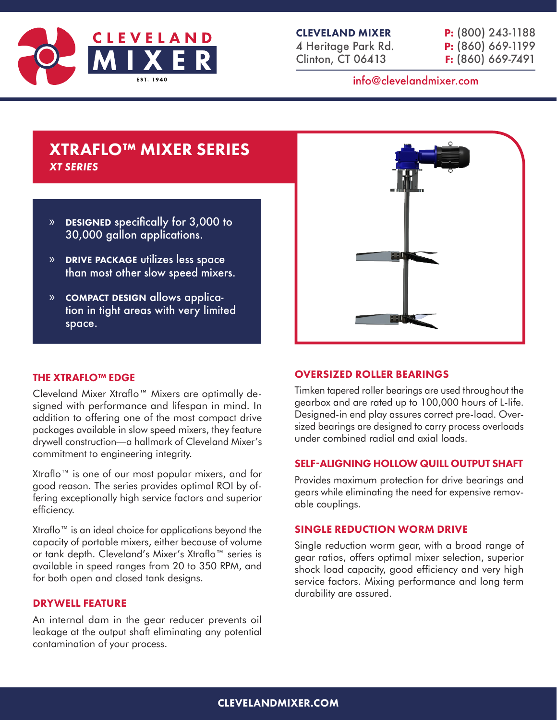

|  | P: (800) 243-1188   |
|--|---------------------|
|  | $P: (860) 669-1199$ |
|  | $F: (860) 669-7491$ |

# info@clevelandmixer.com

# XTRAFLO™ MIXER SERIES *XT SERIES*

- » designed specifically for 3,000 to 30,000 gallon applications.
- » drive package utilizes less space than most other slow speed mixers.
- » compact design allows application in tight areas with very limited space.



## THE XTRAFLO™ EDGE

Cleveland Mixer Xtraflo™ Mixers are optimally designed with performance and lifespan in mind. In addition to offering one of the most compact drive packages available in slow speed mixers, they feature drywell construction—a hallmark of Cleveland Mixer's commitment to engineering integrity.

Xtraflo™ is one of our most popular mixers, and for good reason. The series provides optimal ROI by offering exceptionally high service factors and superior efficiency.

Xtraflo™ is an ideal choice for applications beyond the capacity of portable mixers, either because of volume or tank depth. Cleveland's Mixer's Xtraflo™ series is available in speed ranges from 20 to 350 RPM, and for both open and closed tank designs.

## DRYWELL FEATURE

An internal dam in the gear reducer prevents oil leakage at the output shaft eliminating any potential contamination of your process.

## OVERSIZED ROLLER BEARINGS

Timken tapered roller bearings are used throughout the gearbox and are rated up to 100,000 hours of L-life. Designed-in end play assures correct pre-load. Oversized bearings are designed to carry process overloads under combined radial and axial loads.

#### SELF-ALIGNING HOLLOW QUILL OUTPUT SHAFT

Provides maximum protection for drive bearings and gears while eliminating the need for expensive removable couplings.

#### SINGLE REDUCTION WORM DRIVE

Single reduction worm gear, with a broad range of gear ratios, offers optimal mixer selection, superior shock load capacity, good efficiency and very high service factors. Mixing performance and long term durability are assured.